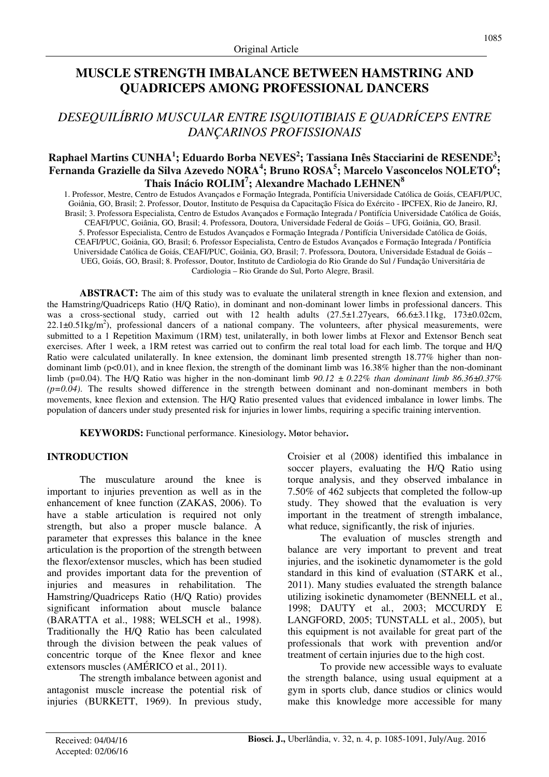# **MUSCLE STRENGTH IMBALANCE BETWEEN HAMSTRING AND QUADRICEPS AMONG PROFESSIONAL DANCERS**

# *DESEQUILÍBRIO MUSCULAR ENTRE ISQUIOTIBIAIS E QUADRÍCEPS ENTRE DANÇARINOS PROFISSIONAIS*

## **Raphael Martins CUNHA<sup>1</sup> ; Eduardo Borba NEVES<sup>2</sup> ; Tassiana Inês Stacciarini de RESENDE<sup>3</sup> ; Fernanda Grazielle da Silva Azevedo NORA<sup>4</sup> ; Bruno ROSA<sup>5</sup> ; Marcelo Vasconcelos NOLETO<sup>6</sup> ; Thais Inácio ROLIM<sup>7</sup> ; Alexandre Machado LEHNEN<sup>8</sup>**

1. Professor, Mestre, Centro de Estudos Avançados e Formação Integrada, Pontifícia Universidade Católica de Goiás, CEAFI/PUC, Goiânia, GO, Brasil; 2. Professor, Doutor, Instituto de Pesquisa da Capacitação Física do Exército - IPCFEX, Rio de Janeiro, RJ, Brasil; 3. Professora Especialista, Centro de Estudos Avançados e Formação Integrada / Pontifícia Universidade Católica de Goiás, CEAFI/PUC, Goiânia, GO, Brasil; 4. Professora, Doutora, Universidade Federal de Goiás – UFG, Goiânia, GO, Brasil. 5. Professor Especialista, Centro de Estudos Avançados e Formação Integrada / Pontifícia Universidade Católica de Goiás, CEAFI/PUC, Goiânia, GO, Brasil; 6. Professor Especialista, Centro de Estudos Avançados e Formação Integrada / Pontifícia Universidade Católica de Goiás, CEAFI/PUC, Goiânia, GO, Brasil; 7. Professora, Doutora, Universidade Estadual de Goiás – UEG, Goiás, GO, Brasil; 8. Professor, Doutor, Instituto de Cardiologia do Rio Grande do Sul / Fundação Universitária de Cardiologia – Rio Grande do Sul, Porto Alegre, Brasil.

**ABSTRACT:** The aim of this study was to evaluate the unilateral strength in knee flexion and extension, and the Hamstring/Quadriceps Ratio (H/Q Ratio), in dominant and non-dominant lower limbs in professional dancers. This was a cross-sectional study, carried out with 12 health adults (27.5±1.27years, 66.6±3.11kg, 173±0.02cm,  $22.1\pm0.51$  kg/m<sup>2</sup>), professional dancers of a national company. The volunteers, after physical measurements, were submitted to a 1 Repetition Maximum (1RM) test, unilaterally, in both lower limbs at Flexor and Extensor Bench seat exercises. After 1 week, a 1RM retest was carried out to confirm the real total load for each limb. The torque and H/Q Ratio were calculated unilaterally. In knee extension, the dominant limb presented strength 18.77% higher than nondominant limb ( $p<0.01$ ), and in knee flexion, the strength of the dominant limb was 16.38% higher than the non-dominant limb (p=0.04). The H/Q Ratio was higher in the non-dominant limb *90.12 ± 0.22% than dominant limb 86.36±0.37%*   $(p=0.04)$ . The results showed difference in the strength between dominant and non-dominant members in both movements, knee flexion and extension. The H/Q Ratio presented values that evidenced imbalance in lower limbs. The population of dancers under study presented risk for injuries in lower limbs, requiring a specific training intervention.

**KEYWORDS:** Functional performance. Kinesiology**.** M**o**tor behavior**.**

## **INTRODUCTION**

The musculature around the knee is important to injuries prevention as well as in the enhancement of knee function (ZAKAS, 2006). To have a stable articulation is required not only strength, but also a proper muscle balance. A parameter that expresses this balance in the knee articulation is the proportion of the strength between the flexor/extensor muscles, which has been studied and provides important data for the prevention of injuries and measures in rehabilitation. The Hamstring/Quadriceps Ratio (H/Q Ratio) provides significant information about muscle balance (BARATTA et al., 1988; WELSCH et al., 1998). Traditionally the H/Q Ratio has been calculated through the division between the peak values of concentric torque of the Knee flexor and knee extensors muscles (AMÉRICO et al., 2011).

The strength imbalance between agonist and antagonist muscle increase the potential risk of injuries (BURKETT, 1969). In previous study, Croisier et al (2008) identified this imbalance in soccer players, evaluating the H/Q Ratio using torque analysis, and they observed imbalance in 7.50% of 462 subjects that completed the follow-up study. They showed that the evaluation is very important in the treatment of strength imbalance, what reduce, significantly, the risk of injuries.

The evaluation of muscles strength and balance are very important to prevent and treat injuries, and the isokinetic dynamometer is the gold standard in this kind of evaluation (STARK et al., 2011). Many studies evaluated the strength balance utilizing isokinetic dynamometer (BENNELL et al., 1998; DAUTY et al*.*, 2003; MCCURDY E LANGFORD, 2005; TUNSTALL et al., 2005), but this equipment is not available for great part of the professionals that work with prevention and/or treatment of certain injuries due to the high cost.

To provide new accessible ways to evaluate the strength balance, using usual equipment at a gym in sports club, dance studios or clinics would make this knowledge more accessible for many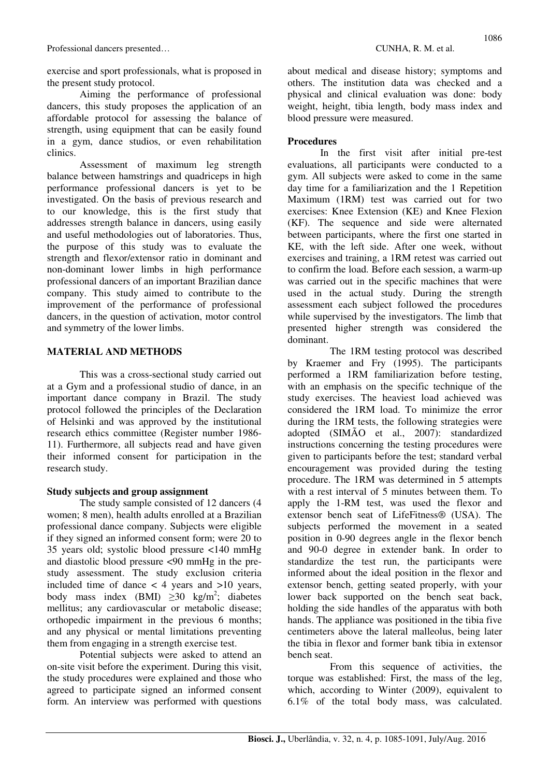exercise and sport professionals, what is proposed in the present study protocol.

Aiming the performance of professional dancers, this study proposes the application of an affordable protocol for assessing the balance of strength, using equipment that can be easily found in a gym, dance studios, or even rehabilitation clinics.

Assessment of maximum leg strength balance between hamstrings and quadriceps in high performance professional dancers is yet to be investigated. On the basis of previous research and to our knowledge, this is the first study that addresses strength balance in dancers, using easily and useful methodologies out of laboratories. Thus, the purpose of this study was to evaluate the strength and flexor/extensor ratio in dominant and non-dominant lower limbs in high performance professional dancers of an important Brazilian dance company. This study aimed to contribute to the improvement of the performance of professional dancers, in the question of activation, motor control and symmetry of the lower limbs.

### **MATERIAL AND METHODS**

This was a cross-sectional study carried out at a Gym and a professional studio of dance, in an important dance company in Brazil. The study protocol followed the principles of the Declaration of Helsinki and was approved by the institutional research ethics committee (Register number 1986- 11). Furthermore, all subjects read and have given their informed consent for participation in the research study.

#### **Study subjects and group assignment**

The study sample consisted of 12 dancers (4 women; 8 men), health adults enrolled at a Brazilian professional dance company. Subjects were eligible if they signed an informed consent form; were 20 to 35 years old; systolic blood pressure <140 mmHg and diastolic blood pressure <90 mmHg in the prestudy assessment. The study exclusion criteria included time of dance  $\lt$  4 years and  $>10$  years, body mass index (BMI)  $\geq$ 30 kg/m<sup>2</sup>; diabetes mellitus; any cardiovascular or metabolic disease; orthopedic impairment in the previous 6 months; and any physical or mental limitations preventing them from engaging in a strength exercise test.

Potential subjects were asked to attend an on-site visit before the experiment. During this visit, the study procedures were explained and those who agreed to participate signed an informed consent form. An interview was performed with questions about medical and disease history; symptoms and others. The institution data was checked and a physical and clinical evaluation was done: body weight, height, tibia length, body mass index and blood pressure were measured.

### **Procedures**

In the first visit after initial pre-test evaluations, all participants were conducted to a gym. All subjects were asked to come in the same day time for a familiarization and the 1 Repetition Maximum (1RM) test was carried out for two exercises: Knee Extension (KE) and Knee Flexion (KF). The sequence and side were alternated between participants, where the first one started in KE, with the left side. After one week, without exercises and training, a 1RM retest was carried out to confirm the load. Before each session, a warm-up was carried out in the specific machines that were used in the actual study. During the strength assessment each subject followed the procedures while supervised by the investigators. The limb that presented higher strength was considered the dominant.

 The 1RM testing protocol was described by Kraemer and Fry (1995). The participants performed a 1RM familiarization before testing, with an emphasis on the specific technique of the study exercises. The heaviest load achieved was considered the 1RM load. To minimize the error during the 1RM tests, the following strategies were adopted (SIMÃO et al., 2007): standardized instructions concerning the testing procedures were given to participants before the test; standard verbal encouragement was provided during the testing procedure. The 1RM was determined in 5 attempts with a rest interval of 5 minutes between them. To apply the 1-RM test, was used the flexor and extensor bench seat of LifeFitness® (USA). The subjects performed the movement in a seated position in 0-90 degrees angle in the flexor bench and 90-0 degree in extender bank. In order to standardize the test run, the participants were informed about the ideal position in the flexor and extensor bench, getting seated properly, with your lower back supported on the bench seat back, holding the side handles of the apparatus with both hands. The appliance was positioned in the tibia five centimeters above the lateral malleolus, being later the tibia in flexor and former bank tibia in extensor bench seat.

 From this sequence of activities, the torque was established: First, the mass of the leg, which, according to Winter (2009), equivalent to 6.1% of the total body mass, was calculated.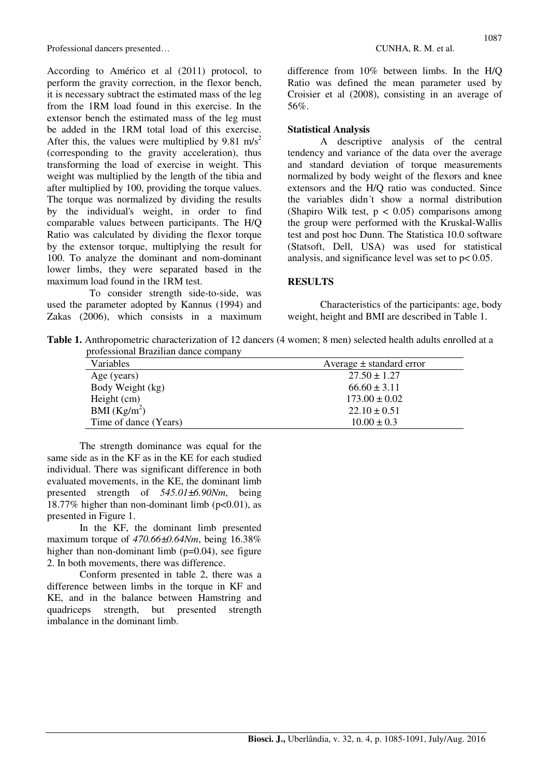Professional dancers presented… CUNHA, R. M. et al.

According to Américo et al (2011) protocol, to perform the gravity correction, in the flexor bench, it is necessary subtract the estimated mass of the leg from the 1RM load found in this exercise. In the extensor bench the estimated mass of the leg must be added in the 1RM total load of this exercise. After this, the values were multiplied by 9.81 m/s<sup>2</sup> (corresponding to the gravity acceleration), thus transforming the load of exercise in weight. This weight was multiplied by the length of the tibia and after multiplied by 100, providing the torque values. The torque was normalized by dividing the results by the individual's weight, in order to find comparable values between participants. The H/Q Ratio was calculated by dividing the flexor torque by the extensor torque, multiplying the result for 100. To analyze the dominant and nom-dominant lower limbs, they were separated based in the maximum load found in the 1RM test.

 To consider strength side-to-side, was used the parameter adopted by Kannus (1994) and Zakas (2006), which consists in a maximum difference from 10% between limbs. In the H/Q Ratio was defined the mean parameter used by Croisier et al (2008), consisting in an average of 56%.

#### **Statistical Analysis**

A descriptive analysis of the central tendency and variance of the data over the average and standard deviation of torque measurements normalized by body weight of the flexors and knee extensors and the H/Q ratio was conducted. Since the variables didn´t show a normal distribution (Shapiro Wilk test,  $p < 0.05$ ) comparisons among the group were performed with the Kruskal-Wallis test and post hoc Dunn. The Statistica 10.0 software (Statsoft, Dell, USA) was used for statistical analysis, and significance level was set to  $p < 0.05$ .

#### **RESULTS**

Characteristics of the participants: age, body weight, height and BMI are described in Table 1.

**Table 1.** Anthropometric characterization of 12 dancers (4 women; 8 men) selected health adults enrolled at a professional Brazilian dance company

| Variables             | Average $\pm$ standard error |  |
|-----------------------|------------------------------|--|
| Age (years)           | $27.50 \pm 1.27$             |  |
| Body Weight (kg)      | $66.60 \pm 3.11$             |  |
| Height (cm)           | $173.00 \pm 0.02$            |  |
| BMI $(Kg/m^2)$        | $22.10 \pm 0.51$             |  |
| Time of dance (Years) | $10.00 \pm 0.3$              |  |

The strength dominance was equal for the same side as in the KF as in the KE for each studied individual. There was significant difference in both evaluated movements, in the KE, the dominant limb presented strength of *545.01±6.90Nm*, being 18.77% higher than non-dominant limb ( $p<0.01$ ), as presented in Figure 1.

In the KF, the dominant limb presented maximum torque of *470.66±0.64Nm*, being 16.38% higher than non-dominant limb  $(p=0.04)$ , see figure 2. In both movements, there was difference.

Conform presented in table 2, there was a difference between limbs in the torque in KF and KE, and in the balance between Hamstring and quadriceps strength, but presented strength imbalance in the dominant limb.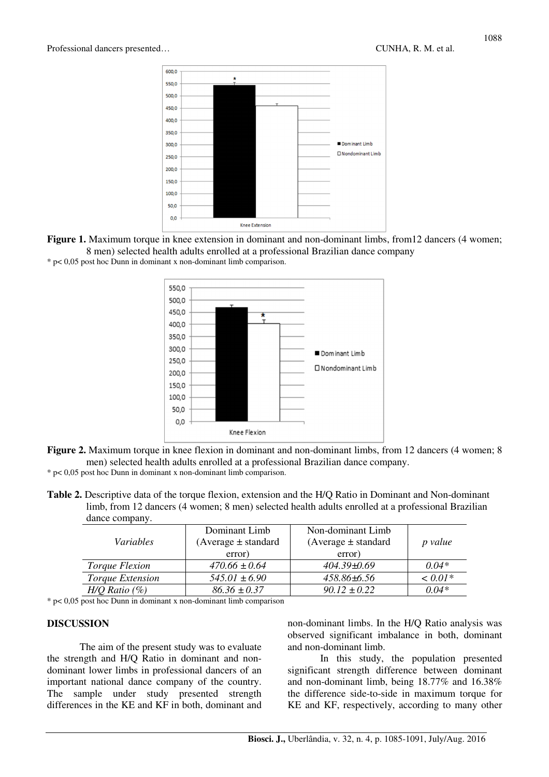

Figure 1. Maximum torque in knee extension in dominant and non-dominant limbs, from12 dancers (4 women; 8 men) selected health adults enrolled at a professional Brazilian dance company \* p< 0,05 post hoc Dunn in dominant x non-dominant limb comparison.



**Figure 2.** Maximum torque in knee flexion in dominant and non-dominant limbs, from 12 dancers (4 women; 8 men) selected health adults enrolled at a professional Brazilian dance company.

\* p< 0,05 post hoc Dunn in dominant x non-dominant limb comparison.

**Table 2.** Descriptive data of the torque flexion, extension and the H/Q Ratio in Dominant and Non-dominant limb, from 12 dancers (4 women; 8 men) selected health adults enrolled at a professional Brazilian dance company.

| <i>Variables</i>      | Dominant Limb<br>$(Average \pm standard)$ | Non-dominant Limb<br>$(Average \pm standard)$ | p value   |
|-----------------------|-------------------------------------------|-----------------------------------------------|-----------|
|                       | error)                                    | error)                                        |           |
| <i>Torque Flexion</i> | $470.66 \pm 0.64$                         | $404.39 \pm 0.69$                             | $0.04*$   |
| Torque Extension      | $545.01 \pm 6.90$                         | 458.86±6.56                                   | $< 0.01*$ |
| $H/O$ Ratio $(\%)$    | $86.36 \pm 0.37$                          | $90.12 \pm 0.22$                              | $0.04*$   |

\* p< 0,05 post hoc Dunn in dominant x non-dominant limb comparison

#### **DISCUSSION**

The aim of the present study was to evaluate the strength and H/Q Ratio in dominant and nondominant lower limbs in professional dancers of an important national dance company of the country. The sample under study presented strength differences in the KE and KF in both, dominant and

non-dominant limbs. In the H/Q Ratio analysis was observed significant imbalance in both, dominant and non-dominant limb.

In this study, the population presented significant strength difference between dominant and non-dominant limb, being 18.77% and 16.38% the difference side-to-side in maximum torque for KE and KF, respectively, according to many other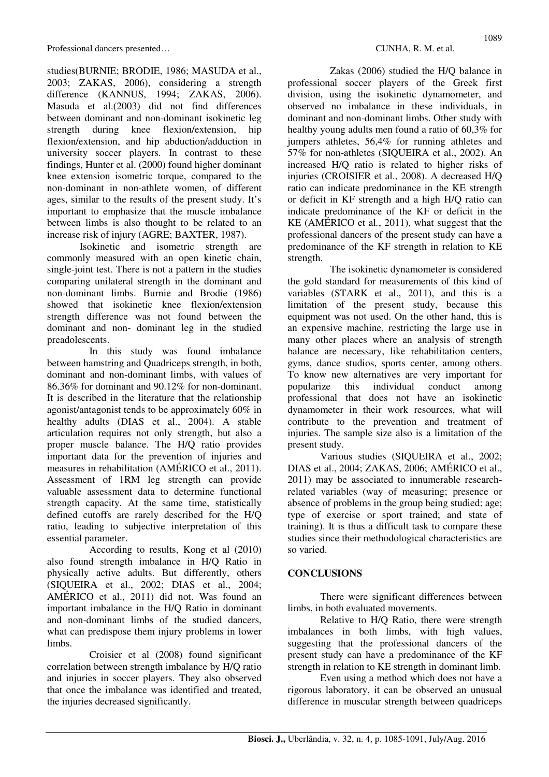studies(BURNIE; BRODIE, 1986; MASUDA et al., 2003; ZAKAS, 2006), considering a strength difference (KANNUS, 1994; ZAKAS, 2006). Masuda et al.(2003) did not find differences between dominant and non-dominant isokinetic leg strength during knee flexion/extension, hip flexion/extension, and hip abduction/adduction in university soccer players. In contrast to these findings, Hunter et al. (2000) found higher dominant knee extension isometric torque, compared to the non-dominant in non-athlete women, of different ages, similar to the results of the present study. It's important to emphasize that the muscle imbalance between limbs is also thought to be related to an increase risk of injury (AGRE; BAXTER, 1987).

Isokinetic and isometric strength are commonly measured with an open kinetic chain, single-joint test. There is not a pattern in the studies comparing unilateral strength in the dominant and non-dominant limbs. Burnie and Brodie (1986) showed that isokinetic knee flexion/extension strength difference was not found between the dominant and non- dominant leg in the studied preadolescents.

 In this study was found imbalance between hamstring and Quadriceps strength, in both, dominant and non-dominant limbs, with values of 86.36% for dominant and 90.12% for non-dominant. It is described in the literature that the relationship agonist/antagonist tends to be approximately 60% in healthy adults (DIAS et al., 2004). A stable articulation requires not only strength, but also a proper muscle balance. The H/Q ratio provides important data for the prevention of injuries and measures in rehabilitation (AMÉRICO et al., 2011). Assessment of 1RM leg strength can provide valuable assessment data to determine functional strength capacity. At the same time, statistically defined cutoffs are rarely described for the H/Q ratio, leading to subjective interpretation of this essential parameter.

 According to results, Kong et al (2010) also found strength imbalance in H/Q Ratio in physically active adults. But differently, others (SIQUEIRA et al., 2002; DIAS et al., 2004; AMÉRICO et al., 2011) did not. Was found an important imbalance in the H/Q Ratio in dominant and non-dominant limbs of the studied dancers, what can predispose them injury problems in lower limbs.

 Croisier et al (2008) found significant correlation between strength imbalance by H/Q ratio and injuries in soccer players. They also observed that once the imbalance was identified and treated, the injuries decreased significantly.

 Zakas (2006) studied the H/Q balance in professional soccer players of the Greek first division, using the isokinetic dynamometer, and observed no imbalance in these individuals, in dominant and non-dominant limbs. Other study with healthy young adults men found a ratio of 60,3% for jumpers athletes, 56,4% for running athletes and 57% for non-athletes (SIQUEIRA et al., 2002). An increased H/Q ratio is related to higher risks of injuries (CROISIER et al., 2008). A decreased H/Q ratio can indicate predominance in the KE strength or deficit in KF strength and a high H/Q ratio can indicate predominance of the KF or deficit in the KE (AMÉRICO et al*.*, 2011), what suggest that the professional dancers of the present study can have a predominance of the KF strength in relation to KE strength.

 The isokinetic dynamometer is considered the gold standard for measurements of this kind of variables (STARK et al., 2011), and this is a limitation of the present study, because this equipment was not used. On the other hand, this is an expensive machine, restricting the large use in many other places where an analysis of strength balance are necessary, like rehabilitation centers, gyms, dance studios, sports center, among others. To know new alternatives are very important for popularize this individual conduct among professional that does not have an isokinetic dynamometer in their work resources, what will contribute to the prevention and treatment of injuries. The sample size also is a limitation of the present study.

Various studies (SIQUEIRA et al., 2002; DIAS et al., 2004; ZAKAS, 2006; AMÉRICO et al., 2011) may be associated to innumerable researchrelated variables (way of measuring; presence or absence of problems in the group being studied; age; type of exercise or sport trained; and state of training). It is thus a difficult task to compare these studies since their methodological characteristics are so varied.

## **CONCLUSIONS**

There were significant differences between limbs, in both evaluated movements.

Relative to H/Q Ratio, there were strength imbalances in both limbs, with high values, suggesting that the professional dancers of the present study can have a predominance of the KF strength in relation to KE strength in dominant limb.

Even using a method which does not have a rigorous laboratory, it can be observed an unusual difference in muscular strength between quadriceps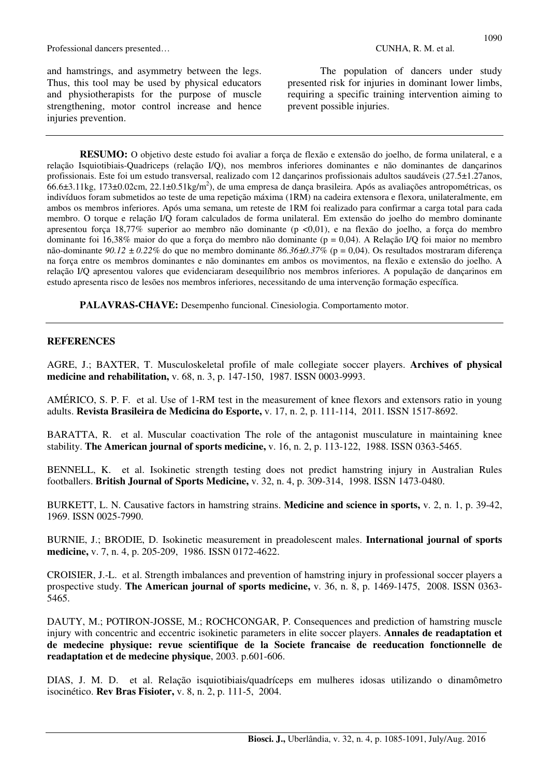and hamstrings, and asymmetry between the legs. Thus, this tool may be used by physical educators and physiotherapists for the purpose of muscle strengthening, motor control increase and hence injuries prevention.

The population of dancers under study presented risk for injuries in dominant lower limbs, requiring a specific training intervention aiming to

prevent possible injuries.

**RESUMO:** O objetivo deste estudo foi avaliar a força de flexão e extensão do joelho, de forma unilateral, e a relação Isquiotibiais-Quadriceps (relação I/Q), nos membros inferiores dominantes e não dominantes de dançarinos profissionais. Este foi um estudo transversal, realizado com 12 dançarinos profissionais adultos saudáveis (27.5±1.27anos, .<br>66.6±3.11kg, 173±0.02cm, 22.1±0.51kg/m<sup>2</sup>), de uma empresa de dança brasileira. Após as avaliações antropométricas, os indivíduos foram submetidos ao teste de uma repetição máxima (1RM) na cadeira extensora e flexora, unilateralmente, em ambos os membros inferiores. Após uma semana, um reteste de 1RM foi realizado para confirmar a carga total para cada membro. O torque e relação I/Q foram calculados de forma unilateral. Em extensão do joelho do membro dominante apresentou força 18,77% superior ao membro não dominante (p <0,01), e na flexão do joelho, a força do membro dominante foi 16,38% maior do que a força do membro não dominante (p = 0,04). A Relação I/Q foi maior no membro não-dominante *90.12 ± 0.22%* do que no membro dominante *86.36±0.37%* (p = 0,04). Os resultados mostraram diferença na força entre os membros dominantes e não dominantes em ambos os movimentos, na flexão e extensão do joelho. A relação I/Q apresentou valores que evidenciaram desequilíbrio nos membros inferiores. A população de dançarinos em estudo apresenta risco de lesões nos membros inferiores, necessitando de uma intervenção formação específica.

**PALAVRAS-CHAVE:** Desempenho funcional. Cinesiologia. Comportamento motor.

#### **REFERENCES**

AGRE, J.; BAXTER, T. Musculoskeletal profile of male collegiate soccer players. **Archives of physical medicine and rehabilitation,** v. 68, n. 3, p. 147-150, 1987. ISSN 0003-9993.

AMÉRICO, S. P. F. et al. Use of 1-RM test in the measurement of knee flexors and extensors ratio in young adults. **Revista Brasileira de Medicina do Esporte,** v. 17, n. 2, p. 111-114, 2011. ISSN 1517-8692.

BARATTA, R. et al. Muscular coactivation The role of the antagonist musculature in maintaining knee stability. **The American journal of sports medicine,** v. 16, n. 2, p. 113-122, 1988. ISSN 0363-5465.

BENNELL, K. et al. Isokinetic strength testing does not predict hamstring injury in Australian Rules footballers. **British Journal of Sports Medicine,** v. 32, n. 4, p. 309-314, 1998. ISSN 1473-0480.

BURKETT, L. N. Causative factors in hamstring strains. **Medicine and science in sports,** v. 2, n. 1, p. 39-42, 1969. ISSN 0025-7990.

BURNIE, J.; BRODIE, D. Isokinetic measurement in preadolescent males. **International journal of sports medicine,** v. 7, n. 4, p. 205-209, 1986. ISSN 0172-4622.

CROISIER, J.-L. et al. Strength imbalances and prevention of hamstring injury in professional soccer players a prospective study. **The American journal of sports medicine,** v. 36, n. 8, p. 1469-1475, 2008. ISSN 0363- 5465.

DAUTY, M.; POTIRON-JOSSE, M.; ROCHCONGAR, P. Consequences and prediction of hamstring muscle injury with concentric and eccentric isokinetic parameters in elite soccer players. **Annales de readaptation et de medecine physique: revue scientifique de la Societe francaise de reeducation fonctionnelle de readaptation et de medecine physique**, 2003. p.601-606.

DIAS, J. M. D. et al. Relação isquiotibiais/quadríceps em mulheres idosas utilizando o dinamômetro isocinético. **Rev Bras Fisioter,** v. 8, n. 2, p. 111-5, 2004.